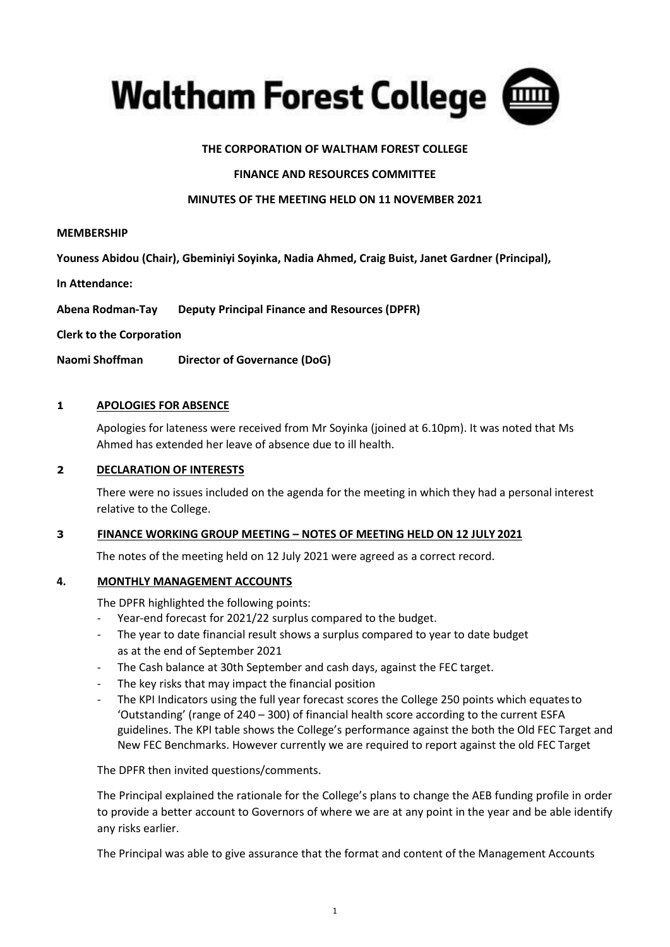

### **THE CORPORATION OF WALTHAM FOREST COLLEGE**

#### **FINANCE AND RESOURCES COMMITTEE**

#### **MINUTES OF THE MEETING HELD ON 11 NOVEMBER 2021**

#### **MEMBERSHIP**

**Youness Abidou (Chair), Gbeminiyi Soyinka, Nadia Ahmed, Craig Buist, Janet Gardner (Principal),** 

**In Attendance:**

**Abena Rodman-Tay Deputy Principal Finance and Resources (DPFR)** 

**Clerk to the Corporation**

**Naomi Shoffman Director of Governance (DoG)**

#### **1 APOLOGIES FOR ABSENCE**

Apologies for lateness were received from Mr Soyinka (joined at 6.10pm). It was noted that Ms Ahmed has extended her leave of absence due to ill health.

#### **2 DECLARATION OF INTERESTS**

There were no issues included on the agenda for the meeting in which they had a personal interest relative to the College.

#### **3 FINANCE WORKING GROUP MEETING – NOTES OF MEETING HELD ON 12 JULY 2021**

The notes of the meeting held on 12 July 2021 were agreed as a correct record.

#### **4. MONTHLY MANAGEMENT ACCOUNTS**

The DPFR highlighted the following points:

- Year-end forecast for 2021/22 surplus compared to the budget.
- The year to date financial result shows a surplus compared to year to date budget as at the end of September 2021
- The Cash balance at 30th September and cash days, against the FEC target.
- The key risks that may impact the financial position
- The KPI Indicators using the full year forecast scores the College 250 points which equates to 'Outstanding' (range of 240 – 300) of financial health score according to the current ESFA guidelines. The KPI table shows the College's performance against the both the Old FEC Target and New FEC Benchmarks. However currently we are required to report against the old FEC Target

The DPFR then invited questions/comments.

The Principal explained the rationale for the College's plans to change the AEB funding profile in order to provide a better account to Governors of where we are at any point in the year and be able identify any risks earlier.

The Principal was able to give assurance that the format and content of the Management Accounts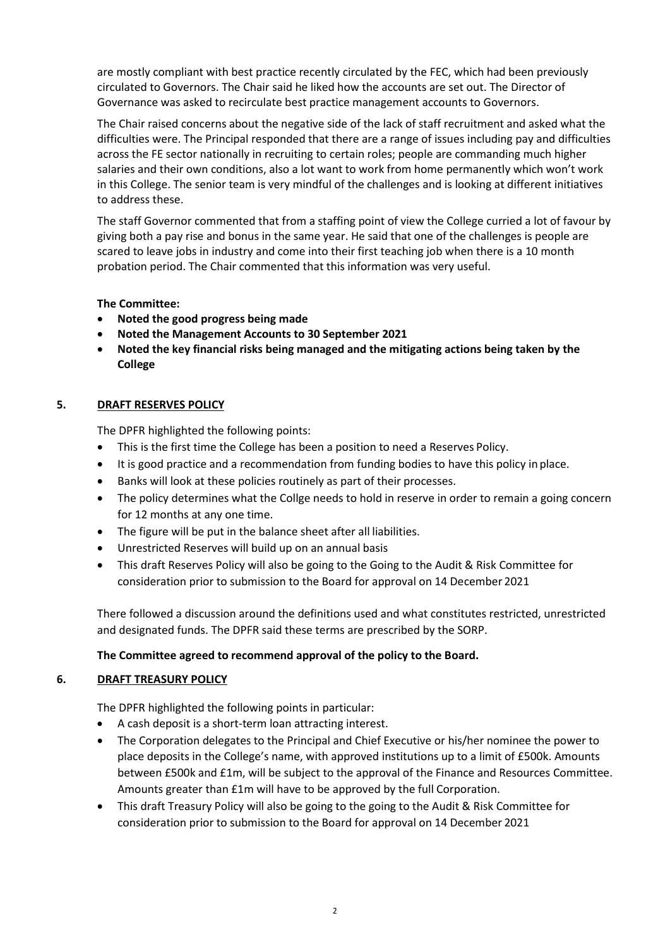are mostly compliant with best practice recently circulated by the FEC, which had been previously circulated to Governors. The Chair said he liked how the accounts are set out. The Director of Governance was asked to recirculate best practice management accounts to Governors.

The Chair raised concerns about the negative side of the lack of staff recruitment and asked what the difficulties were. The Principal responded that there are a range of issues including pay and difficulties across the FE sector nationally in recruiting to certain roles; people are commanding much higher salaries and their own conditions, also a lot want to work from home permanently which won't work in this College. The senior team is very mindful of the challenges and is looking at different initiatives to address these.

The staff Governor commented that from a staffing point of view the College curried a lot of favour by giving both a pay rise and bonus in the same year. He said that one of the challenges is people are scared to leave jobs in industry and come into their first teaching job when there is a 10 month probation period. The Chair commented that this information was very useful.

## **The Committee:**

- **Noted the good progress being made**
- **Noted the Management Accounts to 30 September 2021**
- **Noted the key financial risks being managed and the mitigating actions being taken by the College**

# **5. DRAFT RESERVES POLICY**

The DPFR highlighted the following points:

- This is the first time the College has been a position to need a Reserves Policy.
- It is good practice and a recommendation from funding bodies to have this policy in place.
- Banks will look at these policies routinely as part of their processes.
- The policy determines what the Collge needs to hold in reserve in order to remain a going concern for 12 months at any one time.
- The figure will be put in the balance sheet after all liabilities.
- Unrestricted Reserves will build up on an annual basis
- This draft Reserves Policy will also be going to the Going to the Audit & Risk Committee for consideration prior to submission to the Board for approval on 14 December 2021

There followed a discussion around the definitions used and what constitutes restricted, unrestricted and designated funds. The DPFR said these terms are prescribed by the SORP.

## **The Committee agreed to recommend approval of the policy to the Board.**

## **6. DRAFT TREASURY POLICY**

The DPFR highlighted the following points in particular:

- A cash deposit is a short-term loan attracting interest.
- The Corporation delegates to the Principal and Chief Executive or his/her nominee the power to place deposits in the College's name, with approved institutions up to a limit of £500k. Amounts between £500k and £1m, will be subject to the approval of the Finance and Resources Committee. Amounts greater than £1m will have to be approved by the full Corporation.
- This draft Treasury Policy will also be going to the going to the Audit & Risk Committee for consideration prior to submission to the Board for approval on 14 December 2021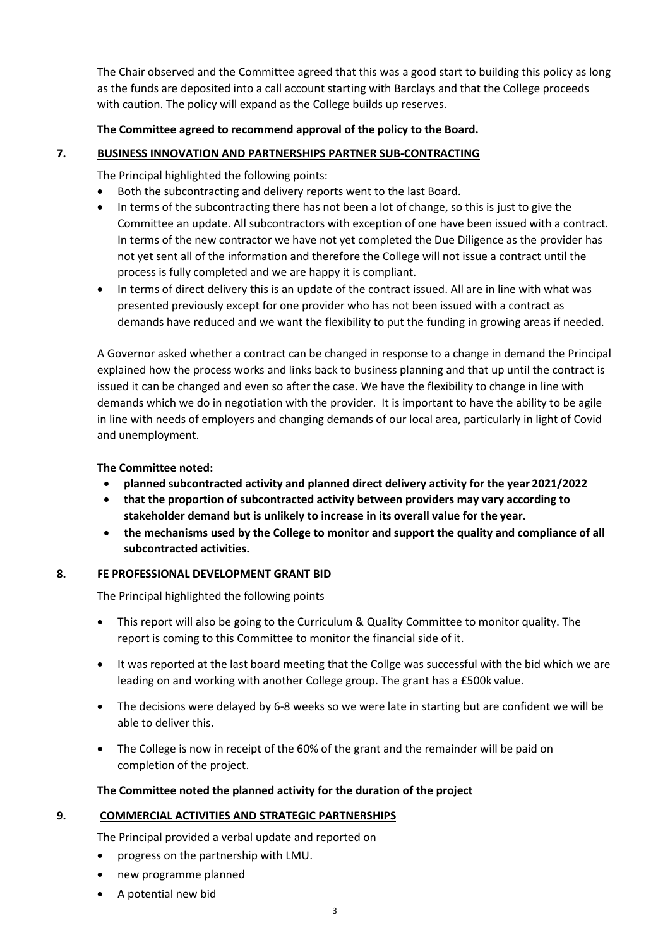The Chair observed and the Committee agreed that this was a good start to building this policy as long as the funds are deposited into a call account starting with Barclays and that the College proceeds with caution. The policy will expand as the College builds up reserves.

## **The Committee agreed to recommend approval of the policy to the Board.**

# **7. BUSINESS INNOVATION AND PARTNERSHIPS PARTNER SUB-CONTRACTING**

The Principal highlighted the following points:

- Both the subcontracting and delivery reports went to the last Board.
- In terms of the subcontracting there has not been a lot of change, so this is just to give the Committee an update. All subcontractors with exception of one have been issued with a contract. In terms of the new contractor we have not yet completed the Due Diligence as the provider has not yet sent all of the information and therefore the College will not issue a contract until the process is fully completed and we are happy it is compliant.
- In terms of direct delivery this is an update of the contract issued. All are in line with what was presented previously except for one provider who has not been issued with a contract as demands have reduced and we want the flexibility to put the funding in growing areas if needed.

A Governor asked whether a contract can be changed in response to a change in demand the Principal explained how the process works and links back to business planning and that up until the contract is issued it can be changed and even so after the case. We have the flexibility to change in line with demands which we do in negotiation with the provider. It is important to have the ability to be agile in line with needs of employers and changing demands of our local area, particularly in light of Covid and unemployment.

## **The Committee noted:**

- **planned subcontracted activity and planned direct delivery activity for the year 2021/2022**
- **that the proportion of subcontracted activity between providers may vary according to stakeholder demand but is unlikely to increase in its overall value for the year.**
- **the mechanisms used by the College to monitor and support the quality and compliance of all subcontracted activities.**

## **8. FE PROFESSIONAL DEVELOPMENT GRANT BID**

The Principal highlighted the following points

- This report will also be going to the Curriculum & Quality Committee to monitor quality. The report is coming to this Committee to monitor the financial side of it.
- It was reported at the last board meeting that the Collge was successful with the bid which we are leading on and working with another College group. The grant has a £500k value.
- The decisions were delayed by 6-8 weeks so we were late in starting but are confident we will be able to deliver this.
- The College is now in receipt of the 60% of the grant and the remainder will be paid on completion of the project.

## **The Committee noted the planned activity for the duration of the project**

## **9. COMMERCIAL ACTIVITIES AND STRATEGIC PARTNERSHIPS**

The Principal provided a verbal update and reported on

- progress on the partnership with LMU.
- new programme planned
- A potential new bid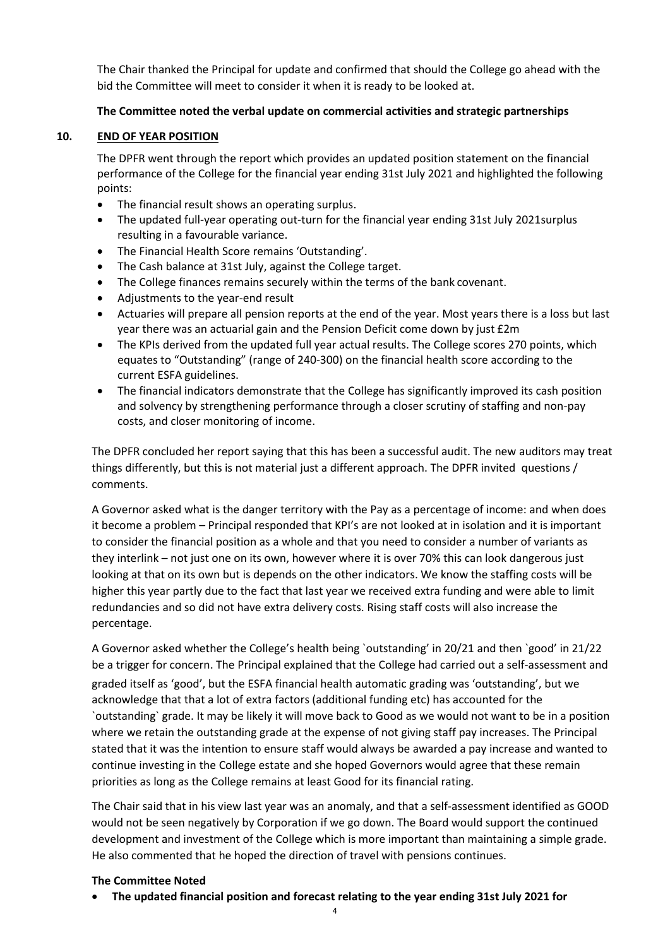The Chair thanked the Principal for update and confirmed that should the College go ahead with the bid the Committee will meet to consider it when it is ready to be looked at.

## **The Committee noted the verbal update on commercial activities and strategic partnerships**

### **10. END OF YEAR POSITION**

The DPFR went through the report which provides an updated position statement on the financial performance of the College for the financial year ending 31st July 2021 and highlighted the following points:

- The financial result shows an operating surplus.
- The updated full-year operating out-turn for the financial year ending 31st July 2021 surplus resulting in a favourable variance.
- The Financial Health Score remains 'Outstanding'.
- The Cash balance at 31st July, against the College target.
- The College finances remains securely within the terms of the bank covenant.
- Adjustments to the year-end result
- Actuaries will prepare all pension reports at the end of the year. Most years there is a loss but last year there was an actuarial gain and the Pension Deficit come down by just £2m
- The KPIs derived from the updated full year actual results. The College scores 270 points, which equates to "Outstanding" (range of 240-300) on the financial health score according to the current ESFA guidelines.
- The financial indicators demonstrate that the College has significantly improved its cash position and solvency by strengthening performance through a closer scrutiny of staffing and non-pay costs, and closer monitoring of income.

The DPFR concluded her report saying that this has been a successful audit. The new auditors may treat things differently, but this is not material just a different approach. The DPFR invited questions / comments.

A Governor asked what is the danger territory with the Pay as a percentage of income: and when does it become a problem – Principal responded that KPI's are not looked at in isolation and it is important to consider the financial position as a whole and that you need to consider a number of variants as they interlink – not just one on its own, however where it is over 70% this can look dangerous just looking at that on its own but is depends on the other indicators. We know the staffing costs will be higher this year partly due to the fact that last year we received extra funding and were able to limit redundancies and so did not have extra delivery costs. Rising staff costs will also increase the percentage.

A Governor asked whether the College's health being `outstanding' in 20/21 and then `good' in 21/22 be a trigger for concern. The Principal explained that the College had carried out a self-assessment and graded itself as 'good', but the ESFA financial health automatic grading was 'outstanding', but we acknowledge that that a lot of extra factors (additional funding etc) has accounted for the `outstanding` grade. It may be likely it will move back to Good as we would not want to be in a position where we retain the outstanding grade at the expense of not giving staff pay increases. The Principal stated that it was the intention to ensure staff would always be awarded a pay increase and wanted to continue investing in the College estate and she hoped Governors would agree that these remain priorities as long as the College remains at least Good for its financial rating.

The Chair said that in his view last year was an anomaly, and that a self-assessment identified as GOOD would not be seen negatively by Corporation if we go down. The Board would support the continued development and investment of the College which is more important than maintaining a simple grade. He also commented that he hoped the direction of travel with pensions continues.

#### **The Committee Noted**

• **The updated financial position and forecast relating to the year ending 31st July 2021 for**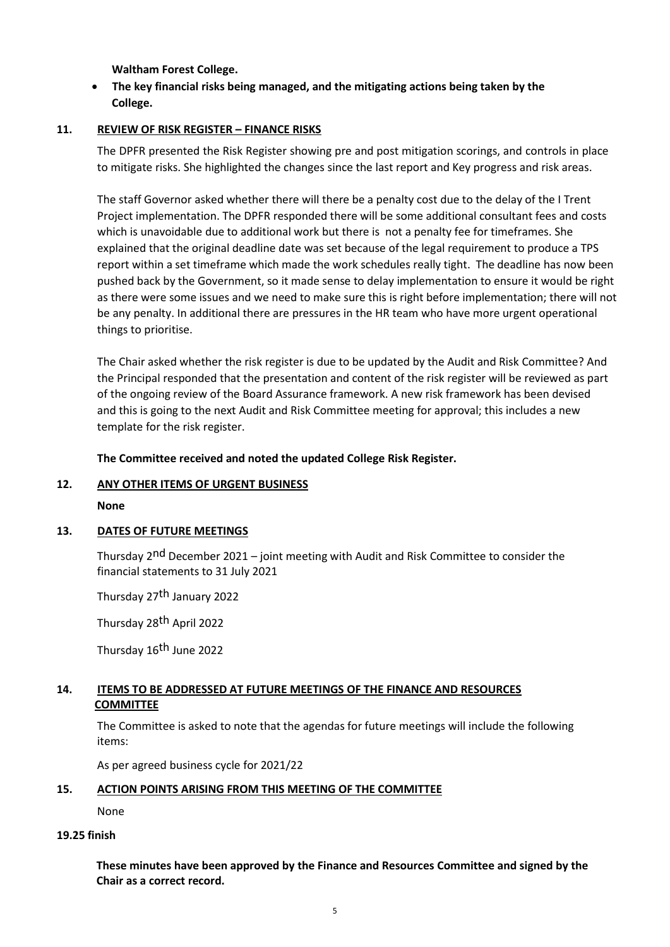**Waltham Forest College.**

## • **The key financial risks being managed, and the mitigating actions being taken by the College.**

#### **11. REVIEW OF RISK REGISTER – FINANCE RISKS**

The DPFR presented the Risk Register showing pre and post mitigation scorings, and controls in place to mitigate risks. She highlighted the changes since the last report and Key progress and risk areas.

The staff Governor asked whether there will there be a penalty cost due to the delay of the I Trent Project implementation. The DPFR responded there will be some additional consultant fees and costs which is unavoidable due to additional work but there is not a penalty fee for timeframes. She explained that the original deadline date was set because of the legal requirement to produce a TPS report within a set timeframe which made the work schedules really tight. The deadline has now been pushed back by the Government, so it made sense to delay implementation to ensure it would be right as there were some issues and we need to make sure this is right before implementation; there will not be any penalty. In additional there are pressures in the HR team who have more urgent operational things to prioritise.

The Chair asked whether the risk register is due to be updated by the Audit and Risk Committee? And the Principal responded that the presentation and content of the risk register will be reviewed as part of the ongoing review of the Board Assurance framework. A new risk framework has been devised and this is going to the next Audit and Risk Committee meeting for approval; this includes a new template for the risk register.

**The Committee received and noted the updated College Risk Register.**

#### **12. ANY OTHER ITEMS OF URGENT BUSINESS**

**None**

#### **13. DATES OF FUTURE MEETINGS**

Thursday 2nd December 2021 – joint meeting with Audit and Risk Committee to consider the financial statements to 31 July 2021

Thursday 27<sup>th</sup> January 2022

Thursday 28th April 2022

Thursday 16<sup>th</sup> June 2022

## **14. ITEMS TO BE ADDRESSED AT FUTURE MEETINGS OF THE FINANCE AND RESOURCES COMMITTEE**

The Committee is asked to note that the agendas for future meetings will include the following items:

As per agreed business cycle for 2021/22

#### **15. ACTION POINTS ARISING FROM THIS MEETING OF THE COMMITTEE**

None

#### **19.25 finish**

**These minutes have been approved by the Finance and Resources Committee and signed by the Chair as a correct record.**